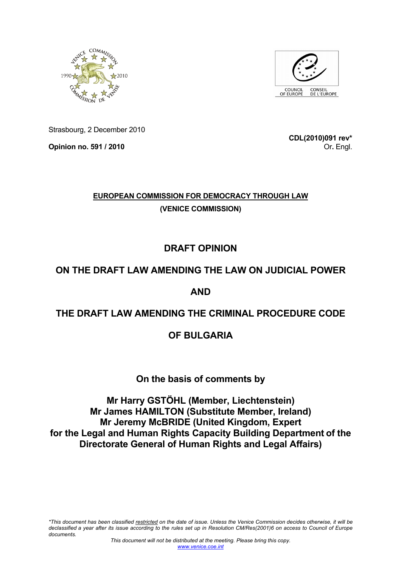



Strasbourg, 2 December 2010

**Opinion no. 591 / 2010** 

**CDL(2010)091 rev\*** Or**.** Engl.

# **EUROPEAN COMMISSION FOR DEMOCRACY THROUGH LAW (VENICE COMMISSION)**

# **DRAFT OPINION**

# **ON THE DRAFT LAW AMENDING THE LAW ON JUDICIAL POWER**

# **AND**

# **THE DRAFT LAW AMENDING THE CRIMINAL PROCEDURE CODE**

# **OF BULGARIA**

# **On the basis of comments by**

**Mr Harry GSTÖHL (Member, Liechtenstein) Mr James HAMILTON (Substitute Member, Ireland) Mr Jeremy McBRIDE (United Kingdom, Expert for the Legal and Human Rights Capacity Building Department of the Directorate General of Human Rights and Legal Affairs)**

*\*This document has been classified restricted on the date of issue. Unless the Venice Commission decides otherwise, it will be declassified a year after its issue according to the rules set up in Resolution CM/Res(2001)6 on access to Council of Europe documents.*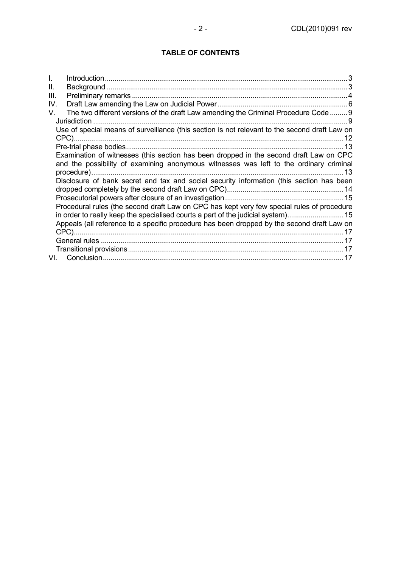## **TABLE OF CONTENTS**

| I.   |                                                                                               |
|------|-----------------------------------------------------------------------------------------------|
| Ш.   |                                                                                               |
| III. |                                                                                               |
| IV.  |                                                                                               |
| V.   | The two different versions of the draft Law amending the Criminal Procedure Code  9           |
|      | Jurisdiction                                                                                  |
|      | Use of special means of surveillance (this section is not relevant to the second draft Law on |
|      |                                                                                               |
|      | Examination of witnesses (this section has been dropped in the second draft Law on CPC        |
|      | and the possibility of examining anonymous witnesses was left to the ordinary criminal        |
|      | . 13                                                                                          |
|      | Disclosure of bank secret and tax and social security information (this section has been      |
|      |                                                                                               |
|      |                                                                                               |
|      | Procedural rules (the second draft Law on CPC has kept very few special rules of procedure    |
|      | in order to really keep the specialised courts a part of the judicial system)15               |
|      | Appeals (all reference to a specific procedure has been dropped by the second draft Law on    |
|      |                                                                                               |
|      |                                                                                               |
|      |                                                                                               |
| VI.  |                                                                                               |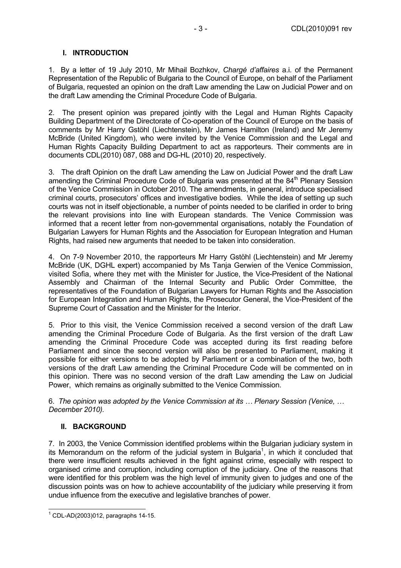### **I. INTRODUCTION**

1. By a letter of 19 July 2010, Mr Mihail Bozhkov, *Chargé d'affaires* a.i. of the Permanent Representation of the Republic of Bulgaria to the Council of Europe, on behalf of the Parliament of Bulgaria, requested an opinion on the draft Law amending the Law on Judicial Power and on the draft Law amending the Criminal Procedure Code of Bulgaria.

2. The present opinion was prepared jointly with the Legal and Human Rights Capacity Building Department of the Directorate of Co-operation of the Council of Europe on the basis of comments by Mr Harry Gstöhl (Liechtenstein), Mr James Hamilton (Ireland) and Mr Jeremy McBride (United Kingdom), who were invited by the Venice Commission and the Legal and Human Rights Capacity Building Department to act as rapporteurs. Their comments are in documents CDL(2010) 087, 088 and DG-HL (2010) 20, respectively.

3. The draft Opinion on the draft Law amending the Law on Judicial Power and the draft Law amending the Criminal Procedure Code of Bulgaria was presented at the 84<sup>th</sup> Plenary Session of the Venice Commission in October 2010. The amendments, in general, introduce specialised criminal courts, prosecutors' offices and investigative bodies. While the idea of setting up such courts was not in itself objectionable, a number of points needed to be clarified in order to bring the relevant provisions into line with European standards. The Venice Commission was informed that a recent letter from non-governmental organisations, notably the Foundation of Bulgarian Lawyers for Human Rights and the Association for European Integration and Human Rights, had raised new arguments that needed to be taken into consideration.

4. On 7-9 November 2010, the rapporteurs Mr Harry Gstöhl (Liechtenstein) and Mr Jeremy McBride (UK, DGHL expert) accompanied by Ms Tanja Gerwien of the Venice Commission, visited Sofia, where they met with the Minister for Justice, the Vice-President of the National Assembly and Chairman of the Internal Security and Public Order Committee, the representatives of the Foundation of Bulgarian Lawyers for Human Rights and the Association for European Integration and Human Rights, the Prosecutor General, the Vice-President of the Supreme Court of Cassation and the Minister for the Interior.

5. Prior to this visit, the Venice Commission received a second version of the draft Law amending the Criminal Procedure Code of Bulgaria. As the first version of the draft Law amending the Criminal Procedure Code was accepted during its first reading before Parliament and since the second version will also be presented to Parliament, making it possible for either versions to be adopted by Parliament or a combination of the two, both versions of the draft Law amending the Criminal Procedure Code will be commented on in this opinion. There was no second version of the draft Law amending the Law on Judicial Power, which remains as originally submitted to the Venice Commission.

6. *The opinion was adopted by the Venice Commission at its … Plenary Session (Venice, … December 2010).* 

## **II. BACKGROUND**

7. In 2003, the Venice Commission identified problems within the Bulgarian judiciary system in its Memorandum on the reform of the judicial system in Bulgaria<sup>1</sup>, in which it concluded that there were insufficient results achieved in the fight against crime, especially with respect to organised crime and corruption, including corruption of the judiciary. One of the reasons that were identified for this problem was the high level of immunity given to judges and one of the discussion points was on how to achieve accountability of the judiciary while preserving it from undue influence from the executive and legislative branches of power.

 1 CDL-AD(2003)012, paragraphs 14-15.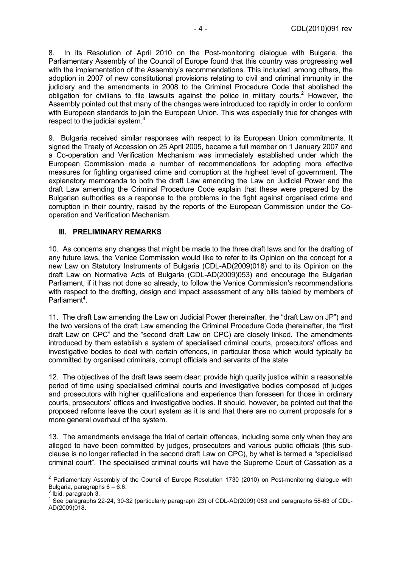8. In its Resolution of April 2010 on the Post-monitoring dialogue with Bulgaria, the Parliamentary Assembly of the Council of Europe found that this country was progressing well with the implementation of the Assembly's recommendations. This included, among others, the adoption in 2007 of new constitutional provisions relating to civil and criminal immunity in the judiciary and the amendments in 2008 to the Criminal Procedure Code that abolished the obligation for civilians to file lawsuits against the police in military courts.<sup>2</sup> However, the Assembly pointed out that many of the changes were introduced too rapidly in order to conform with European standards to join the European Union. This was especially true for changes with respect to the judicial system.<sup>3</sup>

9. Bulgaria received similar responses with respect to its European Union commitments. It signed the Treaty of Accession on 25 April 2005, became a full member on 1 January 2007 and a Co-operation and Verification Mechanism was immediately established under which the European Commission made a number of recommendations for adopting more effective measures for fighting organised crime and corruption at the highest level of government. The explanatory memoranda to both the draft Law amending the Law on Judicial Power and the draft Law amending the Criminal Procedure Code explain that these were prepared by the Bulgarian authorities as a response to the problems in the fight against organised crime and corruption in their country, raised by the reports of the European Commission under the Cooperation and Verification Mechanism.

#### **III. PRELIMINARY REMARKS**

10. As concerns any changes that might be made to the three draft laws and for the drafting of any future laws, the Venice Commission would like to refer to its Opinion on the concept for a new Law on Statutory Instruments of Bulgaria (CDL-AD(2009)018) and to its Opinion on the draft Law on Normative Acts of Bulgaria (CDL-AD(2009)053) and encourage the Bulgarian Parliament, if it has not done so already, to follow the Venice Commission's recommendations with respect to the drafting, design and impact assessment of any bills tabled by members of Parliament<sup>4</sup>.

11. The draft Law amending the Law on Judicial Power (hereinafter, the "draft Law on JP") and the two versions of the draft Law amending the Criminal Procedure Code (hereinafter, the "first draft Law on CPC" and the "second draft Law on CPC) are closely linked. The amendments introduced by them establish a system of specialised criminal courts, prosecutors' offices and investigative bodies to deal with certain offences, in particular those which would typically be committed by organised criminals, corrupt officials and servants of the state.

12. The objectives of the draft laws seem clear: provide high quality justice within a reasonable period of time using specialised criminal courts and investigative bodies composed of judges and prosecutors with higher qualifications and experience than foreseen for those in ordinary courts, prosecutors' offices and investigative bodies. It should, however, be pointed out that the proposed reforms leave the court system as it is and that there are no current proposals for a more general overhaul of the system.

13. The amendments envisage the trial of certain offences, including some only when they are alleged to have been committed by judges, prosecutors and various public officials (this subclause is no longer reflected in the second draft Law on CPC), by what is termed a "specialised criminal court". The specialised criminal courts will have the Supreme Court of Cassation as a

<sup>&</sup>lt;u>2</u><br><sup>2</sup> Parliamentary Assembly of the Council of Europe Resolution 1730 (2010) on Post-monitoring dialogue with Bulgaria, paragraphs 6 – 6.6.

<sup>3</sup> Ibid, paragraph 3.

<sup>4</sup> See paragraphs 22-24, 30-32 (particularly paragraph 23) of CDL-AD(2009) 053 and paragraphs 58-63 of CDL-AD(2009)018.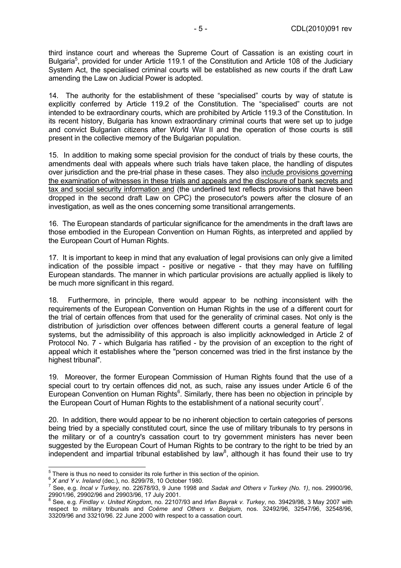third instance court and whereas the Supreme Court of Cassation is an existing court in Bulgaria<sup>5</sup>, provided for under Article 119.1 of the Constitution and Article 108 of the Judiciary System Act, the specialised criminal courts will be established as new courts if the draft Law amending the Law on Judicial Power is adopted.

14. The authority for the establishment of these "specialised" courts by way of statute is explicitly conferred by Article 119.2 of the Constitution. The "specialised" courts are not intended to be extraordinary courts, which are prohibited by Article 119.3 of the Constitution. In its recent history, Bulgaria has known extraordinary criminal courts that were set up to judge and convict Bulgarian citizens after World War II and the operation of those courts is still present in the collective memory of the Bulgarian population.

15. In addition to making some special provision for the conduct of trials by these courts, the amendments deal with appeals where such trials have taken place, the handling of disputes over jurisdiction and the pre-trial phase in these cases. They also include provisions governing the examination of witnesses in these trials and appeals and the disclosure of bank secrets and tax and social security information and (the underlined text reflects provisions that have been dropped in the second draft Law on CPC) the prosecutor's powers after the closure of an investigation, as well as the ones concerning some transitional arrangements.

16. The European standards of particular significance for the amendments in the draft laws are those embodied in the European Convention on Human Rights, as interpreted and applied by the European Court of Human Rights.

17. It is important to keep in mind that any evaluation of legal provisions can only give a limited indication of the possible impact - positive or negative - that they may have on fulfilling European standards. The manner in which particular provisions are actually applied is likely to be much more significant in this regard.

18. Furthermore, in principle, there would appear to be nothing inconsistent with the requirements of the European Convention on Human Rights in the use of a different court for the trial of certain offences from that used for the generality of criminal cases. Not only is the distribution of jurisdiction over offences between different courts a general feature of legal systems, but the admissibility of this approach is also implicitly acknowledged in Article 2 of Protocol No. 7 - which Bulgaria has ratified - by the provision of an exception to the right of appeal which it establishes where the "person concerned was tried in the first instance by the highest tribunal".

19. Moreover, the former European Commission of Human Rights found that the use of a special court to try certain offences did not, as such, raise any issues under Article 6 of the European Convention on Human Rights<sup>6</sup>. Similarly, there has been no objection in principle by the European Court of Human Rights to the establishment of a national security court<sup>7</sup>.

20. In addition, there would appear to be no inherent objection to certain categories of persons being tried by a specially constituted court, since the use of military tribunals to try persons in the military or of a country's cassation court to try government ministers has never been suggested by the European Court of Human Rights to be contrary to the right to be tried by an independent and impartial tribunal established by law<sup>8</sup>, although it has found their use to try

<sup>&</sup>lt;sup>5</sup> There is thus no need to consider its role further in this section of the opinion.<br>
<sup>6</sup> *X and Y v. Ireland* (dec.), no. 8299/78, 10 October 1980.

See, e.g. *Incal v Turkey*, no. 22678/93, 9 June 1998 and *Sadak and Others v Turkey (No. 1)*, nos. 29900/96, 29901/96, 29902/96 and 29903/96, 17 July 2001.

<sup>8</sup> See, e.g. *Findlay v. United Kingdom*, no. 22107/93 and *Irfan Bayrak v. Turkey*, no. 39429/98, 3 May 2007 with respect to military tribunals and *Coëme and Others v. Belgium*, nos. 32492/96, 32547/96, 32548/96, 33209/96 and 33210/96. 22 June 2000 with respect to a cassation court.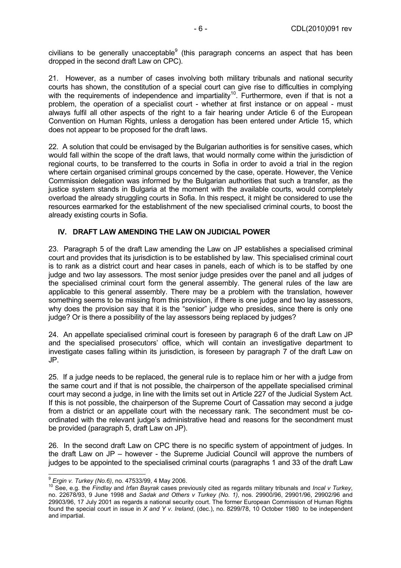civilians to be generally unacceptable<sup>9</sup> (this paragraph concerns an aspect that has been dropped in the second draft Law on CPC).

21. However, as a number of cases involving both military tribunals and national security courts has shown, the constitution of a special court can give rise to difficulties in complying with the requirements of independence and impartiality<sup>10</sup>. Furthermore, even if that is not a problem, the operation of a specialist court - whether at first instance or on appeal - must always fulfil all other aspects of the right to a fair hearing under Article 6 of the European Convention on Human Rights, unless a derogation has been entered under Article 15, which does not appear to be proposed for the draft laws.

22. A solution that could be envisaged by the Bulgarian authorities is for sensitive cases, which would fall within the scope of the draft laws, that would normally come within the jurisdiction of regional courts, to be transferred to the courts in Sofia in order to avoid a trial in the region where certain organised criminal groups concerned by the case, operate. However, the Venice Commission delegation was informed by the Bulgarian authorities that such a transfer, as the justice system stands in Bulgaria at the moment with the available courts, would completely overload the already struggling courts in Sofia. In this respect, it might be considered to use the resources earmarked for the establishment of the new specialised criminal courts, to boost the already existing courts in Sofia.

### **IV. DRAFT LAW AMENDING THE LAW ON JUDICIAL POWER**

23. Paragraph 5 of the draft Law amending the Law on JP establishes a specialised criminal court and provides that its jurisdiction is to be established by law. This specialised criminal court is to rank as a district court and hear cases in panels, each of which is to be staffed by one judge and two lay assessors. The most senior judge presides over the panel and all judges of the specialised criminal court form the general assembly. The general rules of the law are applicable to this general assembly. There may be a problem with the translation, however something seems to be missing from this provision, if there is one judge and two lay assessors, why does the provision say that it is the "senior" judge who presides, since there is only one judge? Or is there a possibility of the lay assessors being replaced by judges?

24. An appellate specialised criminal court is foreseen by paragraph 6 of the draft Law on JP and the specialised prosecutors' office, which will contain an investigative department to investigate cases falling within its jurisdiction, is foreseen by paragraph 7 of the draft Law on JP.

25. If a judge needs to be replaced, the general rule is to replace him or her with a judge from the same court and if that is not possible, the chairperson of the appellate specialised criminal court may second a judge, in line with the limits set out in Article 227 of the Judicial System Act. If this is not possible, the chairperson of the Supreme Court of Cassation may second a judge from a district or an appellate court with the necessary rank. The secondment must be coordinated with the relevant judge's administrative head and reasons for the secondment must be provided (paragraph 5, draft Law on JP).

26. In the second draft Law on CPC there is no specific system of appointment of judges. In the draft Law on JP – however - the Supreme Judicial Council will approve the numbers of judges to be appointed to the specialised criminal courts (paragraphs 1 and 33 of the draft Law

<sup>&</sup>lt;sup>9</sup> Ergin v. Turkey (No.6), no. 47533/99, 4 May 2006.

<sup>&</sup>lt;sup>10</sup> See, e.g. the *Findlay* and *Irfan Bayrak* cases previously cited as regards military tribunals and *Incal v Turkey*, no. 22678/93, 9 June 1998 and *Sadak and Others v Turkey (No. 1)*, nos. 29900/96, 29901/96, 29902/96 and 29903/96, 17 July 2001 as regards a national security court. The former European Commission of Human Rights found the special court in issue in *X and Y v. Ireland*, (dec.), no. 8299/78, 10 October 1980 to be independent and impartial.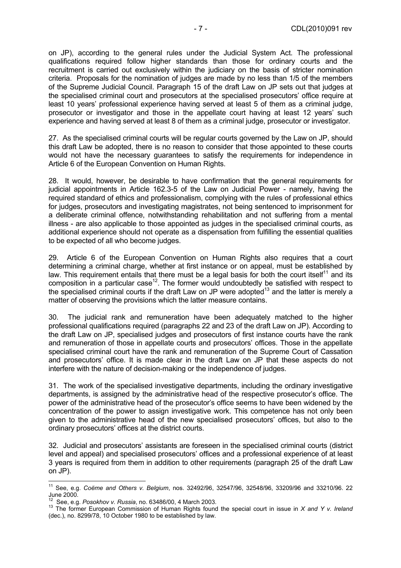on JP), according to the general rules under the Judicial System Act. The professional qualifications required follow higher standards than those for ordinary courts and the recruitment is carried out exclusively within the judiciary on the basis of stricter nomination criteria. Proposals for the nomination of judges are made by no less than 1/5 of the members of the Supreme Judicial Council. Paragraph 15 of the draft Law on JP sets out that judges at the specialised criminal court and prosecutors at the specialised prosecutors' office require at least 10 years' professional experience having served at least 5 of them as a criminal judge, prosecutor or investigator and those in the appellate court having at least 12 years' such experience and having served at least 8 of them as a criminal judge, prosecutor or investigator.

27. As the specialised criminal courts will be regular courts governed by the Law on JP, should this draft Law be adopted, there is no reason to consider that those appointed to these courts would not have the necessary guarantees to satisfy the requirements for independence in Article 6 of the European Convention on Human Rights.

28. It would, however, be desirable to have confirmation that the general requirements for judicial appointments in Article 162.3-5 of the Law on Judicial Power - namely, having the required standard of ethics and professionalism, complying with the rules of professional ethics for judges, prosecutors and investigating magistrates, not being sentenced to imprisonment for a deliberate criminal offence, notwithstanding rehabilitation and not suffering from a mental illness - are also applicable to those appointed as judges in the specialised criminal courts, as additional experience should not operate as a dispensation from fulfilling the essential qualities to be expected of all who become judges.

29. Article 6 of the European Convention on Human Rights also requires that a court determining a criminal charge, whether at first instance or on appeal, must be established by law. This requirement entails that there must be a legal basis for both the court itself<sup>11</sup> and its composition in a particular case<sup>12</sup>. The former would undoubtedly be satisfied with respect to the specialised criminal courts if the draft Law on JP were adopted<sup>13</sup> and the latter is merely a matter of observing the provisions which the latter measure contains.

30. The judicial rank and remuneration have been adequately matched to the higher professional qualifications required (paragraphs 22 and 23 of the draft Law on JP). According to the draft Law on JP, specialised judges and prosecutors of first instance courts have the rank and remuneration of those in appellate courts and prosecutors' offices. Those in the appellate specialised criminal court have the rank and remuneration of the Supreme Court of Cassation and prosecutors' office. It is made clear in the draft Law on JP that these aspects do not interfere with the nature of decision-making or the independence of judges.

31. The work of the specialised investigative departments, including the ordinary investigative departments, is assigned by the administrative head of the respective prosecutor's office. The power of the administrative head of the prosecutor's office seems to have been widened by the concentration of the power to assign investigative work. This competence has not only been given to the administrative head of the new specialised prosecutors' offices, but also to the ordinary prosecutors' offices at the district courts.

32. Judicial and prosecutors' assistants are foreseen in the specialised criminal courts (district level and appeal) and specialised prosecutors' offices and a professional experience of at least 3 years is required from them in addition to other requirements (paragraph 25 of the draft Law on JP).

<sup>11</sup> See, e.g. *Coëme and Others v. Belgium*, nos. 32492/96, 32547/96, 32548/96, 33209/96 and 33210/96. 22 June 2000.<br><sup>12</sup> See, e.g. *Posokhov v. Russia*, no. 63486/00, 4 March 2003.

<sup>12</sup> See, e.g. *Posokhov v. Russia*, no. 63486/00, 4 March 2003. 13 The former European Commission of Human Rights found the special court in issue in *X and Y v. Ireland*  (dec.), no. 8299/78, 10 October 1980 to be established by law.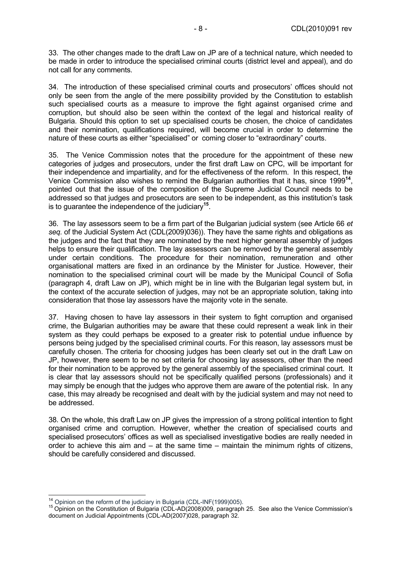33. The other changes made to the draft Law on JP are of a technical nature, which needed to be made in order to introduce the specialised criminal courts (district level and appeal), and do not call for any comments.

34. The introduction of these specialised criminal courts and prosecutors' offices should not only be seen from the angle of the mere possibility provided by the Constitution to establish such specialised courts as a measure to improve the fight against organised crime and corruption, but should also be seen within the context of the legal and historical reality of Bulgaria. Should this option to set up specialised courts be chosen, the choice of candidates and their nomination, qualifications required, will become crucial in order to determine the nature of these courts as either "specialised" or coming closer to "extraordinary" courts.

35. The Venice Commission notes that the procedure for the appointment of these new categories of judges and prosecutors, under the first draft Law on CPC, will be important for their independence and impartiality, and for the effectiveness of the reform. In this respect, the Venice Commission also wishes to remind the Bulgarian authorities that it has, since 1999**<sup>14</sup>**, pointed out that the issue of the composition of the Supreme Judicial Council needs to be addressed so that judges and prosecutors are seen to be independent, as this institution's task is to guarantee the independence of the judiciary**<sup>15</sup>**.

36. The lay assessors seem to be a firm part of the Bulgarian judicial system (see Article 66 *et seq.* of the Judicial System Act (CDL(2009)036)). They have the same rights and obligations as the judges and the fact that they are nominated by the next higher general assembly of judges helps to ensure their qualification. The lay assessors can be removed by the general assembly under certain conditions. The procedure for their nomination, remuneration and other organisational matters are fixed in an ordinance by the Minister for Justice. However, their nomination to the specialised criminal court will be made by the Municipal Council of Sofia (paragraph 4, draft Law on JP), which might be in line with the Bulgarian legal system but, in the context of the accurate selection of judges, may not be an appropriate solution, taking into consideration that those lay assessors have the majority vote in the senate.

37. Having chosen to have lay assessors in their system to fight corruption and organised crime, the Bulgarian authorities may be aware that these could represent a weak link in their system as they could perhaps be exposed to a greater risk to potential undue influence by persons being judged by the specialised criminal courts. For this reason, lay assessors must be carefully chosen. The criteria for choosing judges has been clearly set out in the draft Law on JP, however, there seem to be no set criteria for choosing lay assessors, other than the need for their nomination to be approved by the general assembly of the specialised criminal court. It is clear that lay assessors should not be specifically qualified persons (professionals) and it may simply be enough that the judges who approve them are aware of the potential risk. In any case, this may already be recognised and dealt with by the judicial system and may not need to be addressed.

38. On the whole, this draft Law on JP gives the impression of a strong political intention to fight organised crime and corruption. However, whether the creation of specialised courts and specialised prosecutors' offices as well as specialised investigative bodies are really needed in order to achieve this aim and – at the same time – maintain the minimum rights of citizens, should be carefully considered and discussed.

<sup>&</sup>lt;sup>14</sup> Opinion on the reform of the judiciary in Bulgaria (CDL-INF(1999)005).

 $15$  Opinion on the Constitution of Bulgaria (CDL-AD(2008)009, paragraph 25. See also the Venice Commission's document on Judicial Appointments (CDL-AD(2007)028, paragraph 32.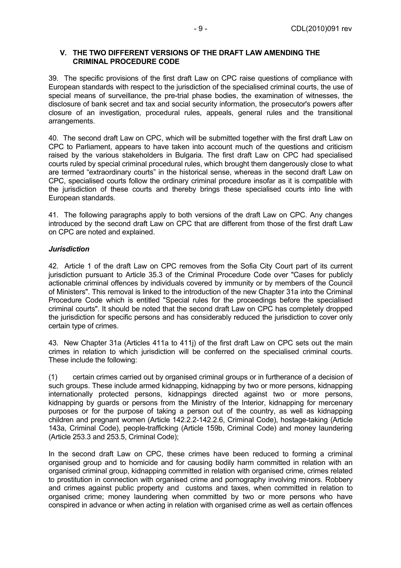#### **V. THE TWO DIFFERENT VERSIONS OF THE DRAFT LAW AMENDING THE CRIMINAL PROCEDURE CODE**

39. The specific provisions of the first draft Law on CPC raise questions of compliance with European standards with respect to the jurisdiction of the specialised criminal courts, the use of special means of surveillance, the pre-trial phase bodies, the examination of witnesses, the disclosure of bank secret and tax and social security information, the prosecutor's powers after closure of an investigation, procedural rules, appeals, general rules and the transitional arrangements.

40. The second draft Law on CPC, which will be submitted together with the first draft Law on CPC to Parliament, appears to have taken into account much of the questions and criticism raised by the various stakeholders in Bulgaria. The first draft Law on CPC had specialised courts ruled by special criminal procedural rules, which brought them dangerously close to what are termed "extraordinary courts" in the historical sense, whereas in the second draft Law on CPC, specialised courts follow the ordinary criminal procedure insofar as it is compatible with the jurisdiction of these courts and thereby brings these specialised courts into line with European standards.

41. The following paragraphs apply to both versions of the draft Law on CPC. Any changes introduced by the second draft Law on CPC that are different from those of the first draft Law on CPC are noted and explained.

#### *Jurisdiction*

42. Article 1 of the draft Law on CPC removes from the Sofia City Court part of its current jurisdiction pursuant to Article 35.3 of the Criminal Procedure Code over "Cases for publicly actionable criminal offences by individuals covered by immunity or by members of the Council of Ministers". This removal is linked to the introduction of the new Chapter 31a into the Criminal Procedure Code which is entitled "Special rules for the proceedings before the specialised criminal courts". It should be noted that the second draft Law on CPC has completely dropped the jurisdiction for specific persons and has considerably reduced the jurisdiction to cover only certain type of crimes.

43. New Chapter 31a (Articles 411a to 411j) of the first draft Law on CPC sets out the main crimes in relation to which jurisdiction will be conferred on the specialised criminal courts. These include the following:

(1) certain crimes carried out by organised criminal groups or in furtherance of a decision of such groups. These include armed kidnapping, kidnapping by two or more persons, kidnapping internationally protected persons, kidnappings directed against two or more persons, kidnapping by guards or persons from the Ministry of the Interior, kidnapping for mercenary purposes or for the purpose of taking a person out of the country, as well as kidnapping children and pregnant women (Article 142.2.2-142.2.6, Criminal Code), hostage-taking (Article 143a, Criminal Code), people-trafficking (Article 159b, Criminal Code) and money laundering (Article 253.3 and 253.5, Criminal Code);

In the second draft Law on CPC, these crimes have been reduced to forming a criminal organised group and to homicide and for causing bodily harm committed in relation with an organised criminal group, kidnapping committed in relation with organised crime, crimes related to prostitution in connection with organised crime and pornography involving minors. Robbery and crimes against public property and customs and taxes, when committed in relation to organised crime; money laundering when committed by two or more persons who have conspired in advance or when acting in relation with organised crime as well as certain offences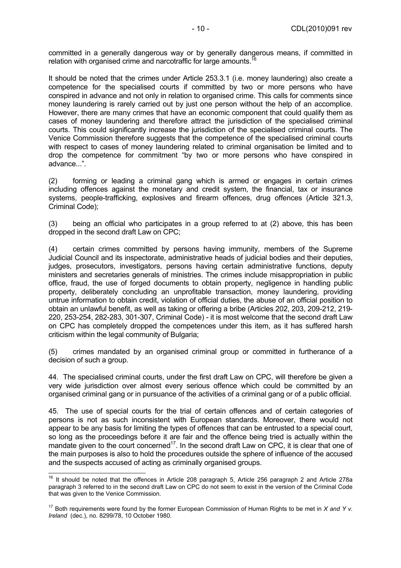committed in a generally dangerous way or by generally dangerous means, if committed in relation with organised crime and narcotraffic for large amounts.<sup>1</sup>

It should be noted that the crimes under Article 253.3.1 (i.e. money laundering) also create a competence for the specialised courts if committed by two or more persons who have conspired in advance and not only in relation to organised crime. This calls for comments since money laundering is rarely carried out by just one person without the help of an accomplice. However, there are many crimes that have an economic component that could qualify them as cases of money laundering and therefore attract the jurisdiction of the specialised criminal courts. This could significantly increase the jurisdiction of the specialised criminal courts. The Venice Commission therefore suggests that the competence of the specialised criminal courts with respect to cases of money laundering related to criminal organisation be limited and to drop the competence for commitment "by two or more persons who have conspired in advance...".

(2) forming or leading a criminal gang which is armed or engages in certain crimes including offences against the monetary and credit system, the financial, tax or insurance systems, people-trafficking, explosives and firearm offences, drug offences (Article 321.3, Criminal Code);

(3) being an official who participates in a group referred to at (2) above, this has been dropped in the second draft Law on CPC;

(4) certain crimes committed by persons having immunity, members of the Supreme Judicial Council and its inspectorate, administrative heads of judicial bodies and their deputies, judges, prosecutors, investigators, persons having certain administrative functions, deputy ministers and secretaries generals of ministries. The crimes include misappropriation in public office, fraud, the use of forged documents to obtain property, negligence in handling public property, deliberately concluding an unprofitable transaction, money laundering, providing untrue information to obtain credit, violation of official duties, the abuse of an official position to obtain an unlawful benefit, as well as taking or offering a bribe (Articles 202, 203, 209-212, 219- 220, 253-254, 282-283, 301-307, Criminal Code) - it is most welcome that the second draft Law on CPC has completely dropped the competences under this item, as it has suffered harsh criticism within the legal community of Bulgaria;

(5) crimes mandated by an organised criminal group or committed in furtherance of a decision of such a group.

44. The specialised criminal courts, under the first draft Law on CPC, will therefore be given a very wide jurisdiction over almost every serious offence which could be committed by an organised criminal gang or in pursuance of the activities of a criminal gang or of a public official.

45. The use of special courts for the trial of certain offences and of certain categories of persons is not as such inconsistent with European standards. Moreover, there would not appear to be any basis for limiting the types of offences that can be entrusted to a special court, so long as the proceedings before it are fair and the offence being tried is actually within the mandate given to the court concerned<sup>17</sup>. In the second draft Law on CPC, it is clear that one of the main purposes is also to hold the procedures outside the sphere of influence of the accused and the suspects accused of acting as criminally organised groups.

 $16$  It should be noted that the offences in Article 208 paragraph 5, Article 256 paragraph 2 and Article 278a paragraph 3 referred to in the second draft Law on CPC do not seem to exist in the version of the Criminal Code that was given to the Venice Commission.

<sup>17</sup> Both requirements were found by the former European Commission of Human Rights to be met in *X and Y v. Ireland* (dec.), no. 8299/78, 10 October 1980.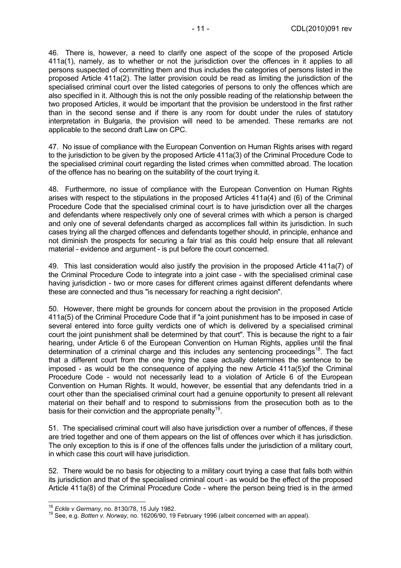46. There is, however, a need to clarify one aspect of the scope of the proposed Article 411a(1), namely, as to whether or not the jurisdiction over the offences in it applies to all persons suspected of committing them and thus includes the categories of persons listed in the proposed Article 411a(2). The latter provision could be read as limiting the jurisdiction of the specialised criminal court over the listed categories of persons to only the offences which are also specified in it. Although this is not the only possible reading of the relationship between the two proposed Articles, it would be important that the provision be understood in the first rather than in the second sense and if there is any room for doubt under the rules of statutory interpretation in Bulgaria, the provision will need to be amended. These remarks are not applicable to the second draft Law on CPC.

47. No issue of compliance with the European Convention on Human Rights arises with regard to the jurisdiction to be given by the proposed Article 411a(3) of the Criminal Procedure Code to the specialised criminal court regarding the listed crimes when committed abroad. The location of the offence has no bearing on the suitability of the court trying it.

48. Furthermore, no issue of compliance with the European Convention on Human Rights arises with respect to the stipulations in the proposed Articles 411a(4) and (6) of the Criminal Procedure Code that the specialised criminal court is to have jurisdiction over all the charges and defendants where respectively only one of several crimes with which a person is charged and only one of several defendants charged as accomplices fall within its jurisdiction. In such cases trying all the charged offences and defendants together should, in principle, enhance and not diminish the prospects for securing a fair trial as this could help ensure that all relevant material - evidence and argument - is put before the court concerned.

49. This last consideration would also justify the provision in the proposed Article 411a(7) of the Criminal Procedure Code to integrate into a joint case - with the specialised criminal case having jurisdiction - two or more cases for different crimes against different defendants where these are connected and thus "is necessary for reaching a right decision".

50. However, there might be grounds for concern about the provision in the proposed Article 411a(5) of the Criminal Procedure Code that if "a joint punishment has to be imposed in case of several entered into force guilty verdicts one of which is delivered by a specialised criminal court the joint punishment shall be determined by that court". This is because the right to a fair hearing, under Article 6 of the European Convention on Human Rights, applies until the final determination of a criminal charge and this includes any sentencing proceedings<sup>18</sup>. The fact that a different court from the one trying the case actually determines the sentence to be imposed - as would be the consequence of applying the new Article 411a(5)of the Criminal Procedure Code - would not necessarily lead to a violation of Article 6 of the European Convention on Human Rights. It would, however, be essential that any defendants tried in a court other than the specialised criminal court had a genuine opportunity to present all relevant material on their behalf and to respond to submissions from the prosecution both as to the basis for their conviction and the appropriate penalty<sup>19</sup>.

51. The specialised criminal court will also have jurisdiction over a number of offences, if these are tried together and one of them appears on the list of offences over which it has jurisdiction. The only exception to this is if one of the offences falls under the jurisdiction of a military court, in which case this court will have jurisdiction.

52. There would be no basis for objecting to a military court trying a case that falls both within its jurisdiction and that of the specialised criminal court - as would be the effect of the proposed Article 411a(8) of the Criminal Procedure Code - where the person being tried is in the armed

<sup>&</sup>lt;sup>18</sup> Eckle v Germany, no. 8130/78, 15 July 1982.

<sup>18</sup> *Eckle v Germany*, no. 8130/78, 15 July 1982. 19 See, e.g. *Botten v. Norway*, no. 16206/90, 19 February 1996 (albeit concerned with an appeal).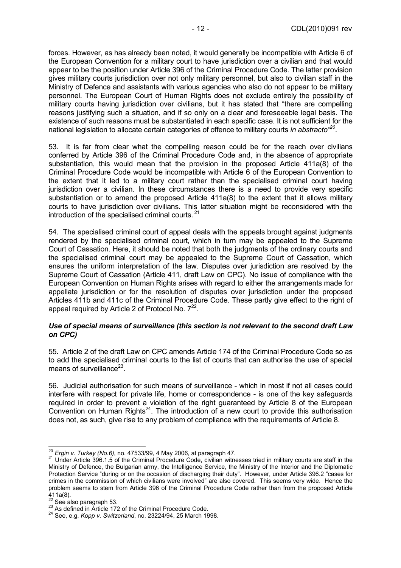forces. However, as has already been noted, it would generally be incompatible with Article 6 of the European Convention for a military court to have jurisdiction over a civilian and that would appear to be the position under Article 396 of the Criminal Procedure Code. The latter provision gives military courts jurisdiction over not only military personnel, but also to civilian staff in the Ministry of Defence and assistants with various agencies who also do not appear to be military personnel. The European Court of Human Rights does not exclude entirely the possibility of military courts having jurisdiction over civilians, but it has stated that "there are compelling reasons justifying such a situation, and if so only on a clear and foreseeable legal basis. The existence of such reasons must be substantiated in each specific case. It is not sufficient for the national legislation to allocate certain categories of offence to military courts *in abstracto"20*.

53. It is far from clear what the compelling reason could be for the reach over civilians conferred by Article 396 of the Criminal Procedure Code and, in the absence of appropriate substantiation, this would mean that the provision in the proposed Article 411a(8) of the Criminal Procedure Code would be incompatible with Article 6 of the European Convention to the extent that it led to a military court rather than the specialised criminal court having jurisdiction over a civilian. In these circumstances there is a need to provide very specific substantiation or to amend the proposed Article 411a(8) to the extent that it allows military courts to have jurisdiction over civilians. This latter situation might be reconsidered with the introduction of the specialised criminal courts. 21

54. The specialised criminal court of appeal deals with the appeals brought against judgments rendered by the specialised criminal court, which in turn may be appealed to the Supreme Court of Cassation. Here, it should be noted that both the judgments of the ordinary courts and the specialised criminal court may be appealed to the Supreme Court of Cassation, which ensures the uniform interpretation of the law. Disputes over jurisdiction are resolved by the Supreme Court of Cassation (Article 411, draft Law on CPC). No issue of compliance with the European Convention on Human Rights arises with regard to either the arrangements made for appellate jurisdiction or for the resolution of disputes over jurisdiction under the proposed Articles 411b and 411c of the Criminal Procedure Code. These partly give effect to the right of appeal required by Article 2 of Protocol No.  $7^{22}$ .

#### *Use of special means of surveillance (this section is not relevant to the second draft Law on CPC)*

55. Article 2 of the draft Law on CPC amends Article 174 of the Criminal Procedure Code so as to add the specialised criminal courts to the list of courts that can authorise the use of special means of surveillance $^{23}$ .

56. Judicial authorisation for such means of surveillance - which in most if not all cases could interfere with respect for private life, home or correspondence - is one of the key safeguards required in order to prevent a violation of the right guaranteed by Article 8 of the European Convention on Human Rights<sup>24</sup>. The introduction of a new court to provide this authorisation does not, as such, give rise to any problem of compliance with the requirements of Article 8.

 $^{20}$  Ergin v. Turkey (No.6), no. 47533/99, 4 May 2006, at paragraph 47.

<sup>&</sup>lt;sup>21</sup> Under Article 396.1.5 of the Criminal Procedure Code, civilian witnesses tried in military courts are staff in the Ministry of Defence, the Bulgarian army, the Intelligence Service, the Ministry of the Interior and the Diplomatic Protection Service "during or on the occasion of discharging their duty". However, under Article 396.2 "cases for crimes in the commission of which civilians were involved" are also covered. This seems very wide. Hence the problem seems to stem from Article 396 of the Criminal Procedure Code rather than from the proposed Article  $411a(8)$ .<br><sup>22</sup> See also paragraph 53.

<sup>23</sup> As defined in Article 172 of the Criminal Procedure Code.<br><sup>24</sup> See, e.g. *Kopp v. Switzerland*, no. 23224/94, 25 March 1998.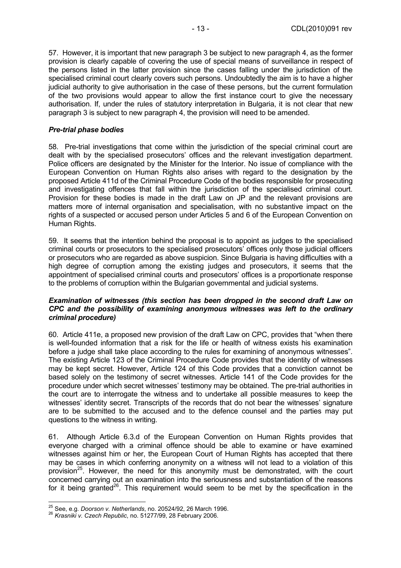57. However, it is important that new paragraph 3 be subject to new paragraph 4, as the former provision is clearly capable of covering the use of special means of surveillance in respect of the persons listed in the latter provision since the cases falling under the jurisdiction of the specialised criminal court clearly covers such persons. Undoubtedly the aim is to have a higher judicial authority to give authorisation in the case of these persons, but the current formulation of the two provisions would appear to allow the first instance court to give the necessary authorisation. If, under the rules of statutory interpretation in Bulgaria, it is not clear that new paragraph 3 is subject to new paragraph 4, the provision will need to be amended.

#### *Pre-trial phase bodies*

58. Pre-trial investigations that come within the jurisdiction of the special criminal court are dealt with by the specialised prosecutors' offices and the relevant investigation department. Police officers are designated by the Minister for the Interior. No issue of compliance with the European Convention on Human Rights also arises with regard to the designation by the proposed Article 411d of the Criminal Procedure Code of the bodies responsible for prosecuting and investigating offences that fall within the jurisdiction of the specialised criminal court. Provision for these bodies is made in the draft Law on JP and the relevant provisions are matters more of internal organisation and specialisation, with no substantive impact on the rights of a suspected or accused person under Articles 5 and 6 of the European Convention on Human Rights.

59. It seems that the intention behind the proposal is to appoint as judges to the specialised criminal courts or prosecutors to the specialised prosecutors' offices only those judicial officers or prosecutors who are regarded as above suspicion. Since Bulgaria is having difficulties with a high degree of corruption among the existing judges and prosecutors, it seems that the appointment of specialised criminal courts and prosecutors' offices is a proportionate response to the problems of corruption within the Bulgarian governmental and judicial systems.

#### *Examination of witnesses (this section has been dropped in the second draft Law on CPC and the possibility of examining anonymous witnesses was left to the ordinary criminal procedure)*

60. Article 411e, a proposed new provision of the draft Law on CPC, provides that "when there is well-founded information that a risk for the life or health of witness exists his examination before a judge shall take place according to the rules for examining of anonymous witnesses". The existing Article 123 of the Criminal Procedure Code provides that the identity of witnesses may be kept secret. However, Article 124 of this Code provides that a conviction cannot be based solely on the testimony of secret witnesses. Article 141 of the Code provides for the procedure under which secret witnesses' testimony may be obtained. The pre-trial authorities in the court are to interrogate the witness and to undertake all possible measures to keep the witnesses' identity secret. Transcripts of the records that do not bear the witnesses' signature are to be submitted to the accused and to the defence counsel and the parties may put questions to the witness in writing.

61. Although Article 6.3.d of the European Convention on Human Rights provides that everyone charged with a criminal offence should be able to examine or have examined witnesses against him or her, the European Court of Human Rights has accepted that there may be cases in which conferring anonymity on a witness will not lead to a violation of this provision<sup>25</sup>. However, the need for this anonymity must be demonstrated, with the court concerned carrying out an examination into the seriousness and substantiation of the reasons for it being granted<sup>26</sup>. This requirement would seem to be met by the specification in the

 <sup>25</sup> See, e.g. *Doorson v. Netherlands*, no. 20524/92, 26 March 1996.<br><sup>26</sup> *Krasniki v. Czech Republic*, no. 51277/99, 28 February 2006.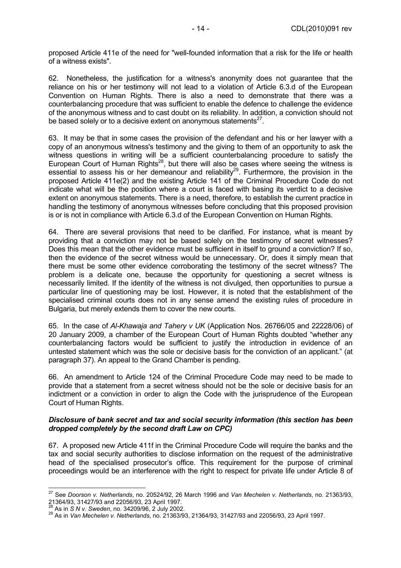proposed Article 411e of the need for "well-founded information that a risk for the life or health of a witness exists".

62. Nonetheless, the justification for a witness's anonymity does not guarantee that the reliance on his or her testimony will not lead to a violation of Article 6.3.d of the European Convention on Human Rights. There is also a need to demonstrate that there was a counterbalancing procedure that was sufficient to enable the defence to challenge the evidence of the anonymous witness and to cast doubt on its reliability. In addition, a conviction should not be based solely or to a decisive extent on anonymous statements $27$ .

63. It may be that in some cases the provision of the defendant and his or her lawyer with a copy of an anonymous witness's testimony and the giving to them of an opportunity to ask the witness questions in writing will be a sufficient counterbalancing procedure to satisfy the European Court of Human Rights<sup>28</sup>, but there will also be cases where seeing the witness is essential to assess his or her demeanour and reliability<sup>29</sup>. Furthermore, the provision in the proposed Article 411e(2) and the existing Article 141 of the Criminal Procedure Code do not indicate what will be the position where a court is faced with basing its verdict to a decisive extent on anonymous statements. There is a need, therefore, to establish the current practice in handling the testimony of anonymous witnesses before concluding that this proposed provision is or is not in compliance with Article 6.3.d of the European Convention on Human Rights.

64. There are several provisions that need to be clarified. For instance, what is meant by providing that a conviction may not be based solely on the testimony of secret witnesses? Does this mean that the other evidence must be sufficient in itself to ground a conviction? If so, then the evidence of the secret witness would be unnecessary. Or, does it simply mean that there must be some other evidence corroborating the testimony of the secret witness? The problem is a delicate one, because the opportunity for questioning a secret witness is necessarily limited. If the identity of the witness is not divulged, then opportunities to pursue a particular line of questioning may be lost. However, it is noted that the establishment of the specialised criminal courts does not in any sense amend the existing rules of procedure in Bulgaria, but merely extends them to cover the new courts.

65. In the case of *Al-Khawaja and Tahery v UK* (Application Nos. 26766/05 and 22228/06) of 20 January 2009, a chamber of the European Court of Human Rights doubted "whether any counterbalancing factors would be sufficient to justify the introduction in evidence of an untested statement which was the sole or decisive basis for the conviction of an applicant." (at paragraph 37). An appeal to the Grand Chamber is pending.

66. An amendment to Article 124 of the Criminal Procedure Code may need to be made to provide that a statement from a secret witness should not be the sole or decisive basis for an indictment or a conviction in order to align the Code with the jurisprudence of the European Court of Human Rights.

#### *Disclosure of bank secret and tax and social security information (this section has been dropped completely by the second draft Law on CPC)*

67. A proposed new Article 411f in the Criminal Procedure Code will require the banks and the tax and social security authorities to disclose information on the request of the administrative head of the specialised prosecutor's office. This requirement for the purpose of criminal proceedings would be an interference with the right to respect for private life under Article 8 of

 $\overline{a}$ 27 See *Doorson v. Netherlands*, no. 20524/92, 26 March 1996 and *Van Mechelen v. Netherlands*, no. 21363/93, 21364/93, 31427/93 and 22056/93, 23 April 1997.<br><sup>28</sup> As in *S N v. Sweden*, no. 34209/96, 2 July 2002.<br><sup>29</sup> As in *Van Mechelen v. Netherlands*, no. 21363/93, 21364/93, 31427/93 and 22056/93, 23 April 1997.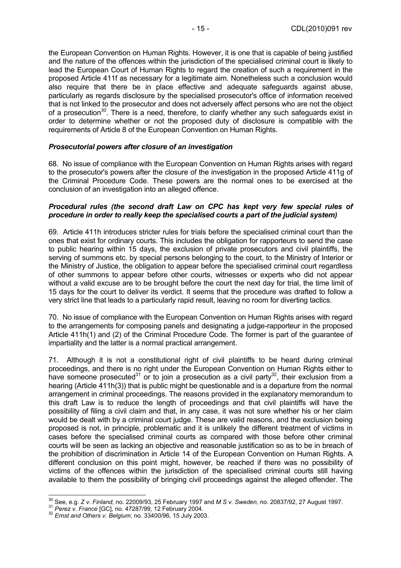the European Convention on Human Rights. However, it is one that is capable of being justified and the nature of the offences within the jurisdiction of the specialised criminal court is likely to lead the European Court of Human Rights to regard the creation of such a requirement in the proposed Article 411f as necessary for a legitimate aim. Nonetheless such a conclusion would also require that there be in place effective and adequate safeguards against abuse, particularly as regards disclosure by the specialised prosecutor's office of information received that is not linked to the prosecutor and does not adversely affect persons who are not the object of a prosecution<sup>30</sup>. There is a need, therefore, to clarify whether any such safeguards exist in order to determine whether or not the proposed duty of disclosure is compatible with the requirements of Article 8 of the European Convention on Human Rights.

#### *Prosecutorial powers after closure of an investigation*

68. No issue of compliance with the European Convention on Human Rights arises with regard to the prosecutor's powers after the closure of the investigation in the proposed Article 411g of the Criminal Procedure Code. These powers are the normal ones to be exercised at the conclusion of an investigation into an alleged offence.

#### *Procedural rules (the second draft Law on CPC has kept very few special rules of procedure in order to really keep the specialised courts a part of the judicial system)*

69. Article 411h introduces stricter rules for trials before the specialised criminal court than the ones that exist for ordinary courts. This includes the obligation for rapporteurs to send the case to public hearing within 15 days, the exclusion of private prosecutors and civil plaintiffs, the serving of summons etc. by special persons belonging to the court, to the Ministry of Interior or the Ministry of Justice, the obligation to appear before the specialised criminal court regardless of other summons to appear before other courts, witnesses or experts who did not appear without a valid excuse are to be brought before the court the next day for trial, the time limit of 15 days for the court to deliver its verdict. It seems that the procedure was drafted to follow a very strict line that leads to a particularly rapid result, leaving no room for diverting tactics.

70. No issue of compliance with the European Convention on Human Rights arises with regard to the arrangements for composing panels and designating a judge-rapporteur in the proposed Article 411h(1) and (2) of the Criminal Procedure Code. The former is part of the guarantee of impartiality and the latter is a normal practical arrangement.

71. Although it is not a constitutional right of civil plaintiffs to be heard during criminal proceedings, and there is no right under the European Convention on Human Rights either to have someone prosecuted<sup>31</sup> or to join a prosecution as a civil party<sup>32</sup>, their exclusion from a hearing (Article 411h(3)) that is public might be questionable and is a departure from the normal arrangement in criminal proceedings. The reasons provided in the explanatory memorandum to this draft Law is to reduce the length of proceedings and that civil plaintiffs will have the possibility of filing a civil claim and that, in any case, it was not sure whether his or her claim would be dealt with by a criminal court judge. These are valid reasons, and the exclusion being proposed is not, in principle, problematic and it is unlikely the different treatment of victims in cases before the specialised criminal courts as compared with those before other criminal courts will be seen as lacking an objective and reasonable justification so as to be in breach of the prohibition of discrimination in Article 14 of the European Convention on Human Rights. A different conclusion on this point might, however, be reached if there was no possibility of victims of the offences within the jurisdiction of the specialised criminal courts still having available to them the possibility of bringing civil proceedings against the alleged offender. The

<sup>&</sup>lt;sup>30</sup> See, e.g. Z v. *Finland*, no. 22009/93, 25 February 1997 and *M S v. Sweden*, no. 20837/92, 27 August 1997.<br><sup>31</sup> *Perez v. France* [GC], no. 47287/99, 12 February 2004.<br><sup>32</sup> *Ernst and Others v. Belgium*, no. 33400/96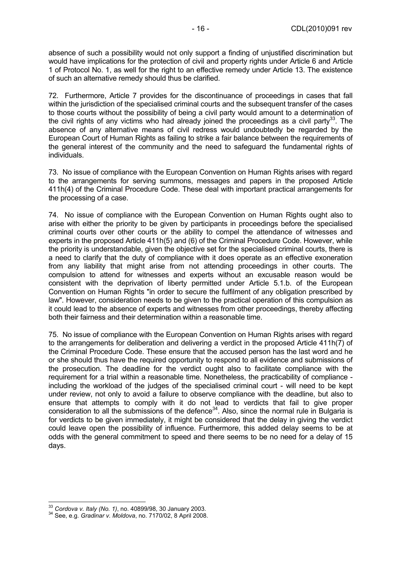absence of such a possibility would not only support a finding of unjustified discrimination but would have implications for the protection of civil and property rights under Article 6 and Article 1 of Protocol No. 1, as well for the right to an effective remedy under Article 13. The existence of such an alternative remedy should thus be clarified.

72. Furthermore, Article 7 provides for the discontinuance of proceedings in cases that fall within the jurisdiction of the specialised criminal courts and the subsequent transfer of the cases to those courts without the possibility of being a civil party would amount to a determination of the civil rights of any victims who had already joined the proceedings as a civil party<sup>33</sup>. The absence of any alternative means of civil redress would undoubtedly be regarded by the European Court of Human Rights as failing to strike a fair balance between the requirements of the general interest of the community and the need to safeguard the fundamental rights of individuals.

73. No issue of compliance with the European Convention on Human Rights arises with regard to the arrangements for serving summons, messages and papers in the proposed Article 411h(4) of the Criminal Procedure Code. These deal with important practical arrangements for the processing of a case.

74. No issue of compliance with the European Convention on Human Rights ought also to arise with either the priority to be given by participants in proceedings before the specialised criminal courts over other courts or the ability to compel the attendance of witnesses and experts in the proposed Article 411h(5) and (6) of the Criminal Procedure Code. However, while the priority is understandable, given the objective set for the specialised criminal courts, there is a need to clarify that the duty of compliance with it does operate as an effective exoneration from any liability that might arise from not attending proceedings in other courts. The compulsion to attend for witnesses and experts without an excusable reason would be consistent with the deprivation of liberty permitted under Article 5.1.b. of the European Convention on Human Rights "in order to secure the fulfilment of any obligation prescribed by law". However, consideration needs to be given to the practical operation of this compulsion as it could lead to the absence of experts and witnesses from other proceedings, thereby affecting both their fairness and their determination within a reasonable time.

75. No issue of compliance with the European Convention on Human Rights arises with regard to the arrangements for deliberation and delivering a verdict in the proposed Article 411h(7) of the Criminal Procedure Code. These ensure that the accused person has the last word and he or she should thus have the required opportunity to respond to all evidence and submissions of the prosecution. The deadline for the verdict ought also to facilitate compliance with the requirement for a trial within a reasonable time. Nonetheless, the practicability of compliance including the workload of the judges of the specialised criminal court - will need to be kept under review, not only to avoid a failure to observe compliance with the deadline, but also to ensure that attempts to comply with it do not lead to verdicts that fail to give proper consideration to all the submissions of the defence<sup>34</sup>. Also, since the normal rule in Bulgaria is for verdicts to be given immediately, it might be considered that the delay in giving the verdict could leave open the possibility of influence. Furthermore, this added delay seems to be at odds with the general commitment to speed and there seems to be no need for a delay of 15 days.

<sup>&</sup>lt;sup>33</sup> Cordova v. Italy (No. 1), no. 40899/98, 30 January 2003.

<sup>&</sup>lt;sup>34</sup> See, e.g. *Gradinar v. Moldova*, no. 7170/02, 8 April 2008.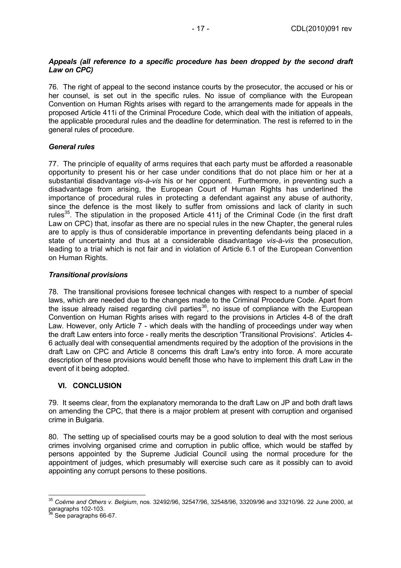### *Appeals (all reference to a specific procedure has been dropped by the second draft Law on CPC)*

76. The right of appeal to the second instance courts by the prosecutor, the accused or his or her counsel, is set out in the specific rules. No issue of compliance with the European Convention on Human Rights arises with regard to the arrangements made for appeals in the proposed Article 411i of the Criminal Procedure Code, which deal with the initiation of appeals, the applicable procedural rules and the deadline for determination. The rest is referred to in the general rules of procedure.

### *General rules*

77. The principle of equality of arms requires that each party must be afforded a reasonable opportunity to present his or her case under conditions that do not place him or her at a substantial disadvantage *vis-à-vis* his or her opponent. Furthermore, in preventing such a disadvantage from arising, the European Court of Human Rights has underlined the importance of procedural rules in protecting a defendant against any abuse of authority, since the defence is the most likely to suffer from omissions and lack of clarity in such rules<sup>35</sup>. The stipulation in the proposed Article 411 of the Criminal Code (in the first draft Law on CPC) that, insofar as there are no special rules in the new Chapter, the general rules are to apply is thus of considerable importance in preventing defendants being placed in a state of uncertainty and thus at a considerable disadvantage *vis-à-vis* the prosecution, leading to a trial which is not fair and in violation of Article 6.1 of the European Convention on Human Rights.

### *Transitional provisions*

78. The transitional provisions foresee technical changes with respect to a number of special laws, which are needed due to the changes made to the Criminal Procedure Code. Apart from the issue already raised regarding civil parties<sup>36</sup>, no issue of compliance with the European Convention on Human Rights arises with regard to the provisions in Articles 4-8 of the draft Law. However, only Article 7 - which deals with the handling of proceedings under way when the draft Law enters into force - really merits the description 'Transitional Provisions'. Articles 4- 6 actually deal with consequential amendments required by the adoption of the provisions in the draft Law on CPC and Article 8 concerns this draft Law's entry into force. A more accurate description of these provisions would benefit those who have to implement this draft Law in the event of it being adopted.

### **VI. CONCLUSION**

79. It seems clear, from the explanatory memoranda to the draft Law on JP and both draft laws on amending the CPC, that there is a major problem at present with corruption and organised crime in Bulgaria.

80. The setting up of specialised courts may be a good solution to deal with the most serious crimes involving organised crime and corruption in public office, which would be staffed by persons appointed by the Supreme Judicial Council using the normal procedure for the appointment of judges, which presumably will exercise such care as it possibly can to avoid appointing any corrupt persons to these positions.

<sup>35</sup> *Coëme and Others v. Belgium*, nos. 32492/96, 32547/96, 32548/96, 33209/96 and 33210/96. 22 June 2000, at paragraphs 102-103.

See paragraphs 66-67.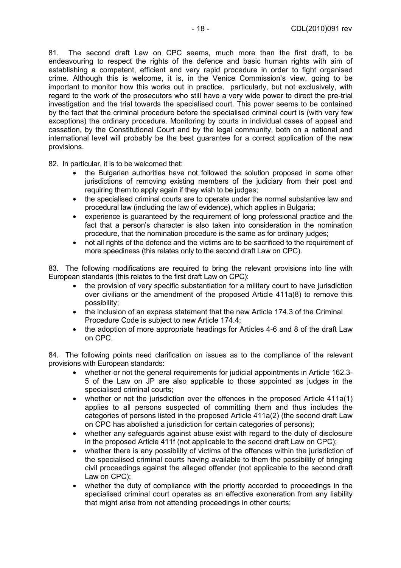81. The second draft Law on CPC seems, much more than the first draft, to be endeavouring to respect the rights of the defence and basic human rights with aim of establishing a competent, efficient and very rapid procedure in order to fight organised crime. Although this is welcome, it is, in the Venice Commission's view, going to be important to monitor how this works out in practice, particularly, but not exclusively, with regard to the work of the prosecutors who still have a very wide power to direct the pre-trial investigation and the trial towards the specialised court. This power seems to be contained by the fact that the criminal procedure before the specialised criminal court is (with very few exceptions) the ordinary procedure. Monitoring by courts in individual cases of appeal and cassation, by the Constitutional Court and by the legal community, both on a national and international level will probably be the best guarantee for a correct application of the new provisions.

82. In particular, it is to be welcomed that:

- the Bulgarian authorities have not followed the solution proposed in some other jurisdictions of removing existing members of the judiciary from their post and requiring them to apply again if they wish to be judges;
- the specialised criminal courts are to operate under the normal substantive law and procedural law (including the law of evidence), which applies in Bulgaria;
- experience is guaranteed by the requirement of long professional practice and the fact that a person's character is also taken into consideration in the nomination procedure, that the nomination procedure is the same as for ordinary judges;
- not all rights of the defence and the victims are to be sacrificed to the requirement of more speediness (this relates only to the second draft Law on CPC).

83. The following modifications are required to bring the relevant provisions into line with European standards (this relates to the first draft Law on CPC):

- the provision of very specific substantiation for a military court to have jurisdiction over civilians or the amendment of the proposed Article 411a(8) to remove this possibility;
- the inclusion of an express statement that the new Article 174.3 of the Criminal Procedure Code is subject to new Article 174.4;
- the adoption of more appropriate headings for Articles 4-6 and 8 of the draft Law on CPC.

84. The following points need clarification on issues as to the compliance of the relevant provisions with European standards:

- whether or not the general requirements for judicial appointments in Article 162.3- 5 of the Law on JP are also applicable to those appointed as judges in the specialised criminal courts;
- whether or not the jurisdiction over the offences in the proposed Article 411a(1) applies to all persons suspected of committing them and thus includes the categories of persons listed in the proposed Article 411a(2) (the second draft Law on CPC has abolished a jurisdiction for certain categories of persons);
- whether any safeguards against abuse exist with regard to the duty of disclosure in the proposed Article 411f (not applicable to the second draft Law on CPC);
- whether there is any possibility of victims of the offences within the jurisdiction of the specialised criminal courts having available to them the possibility of bringing civil proceedings against the alleged offender (not applicable to the second draft Law on CPC);
- whether the duty of compliance with the priority accorded to proceedings in the specialised criminal court operates as an effective exoneration from any liability that might arise from not attending proceedings in other courts;